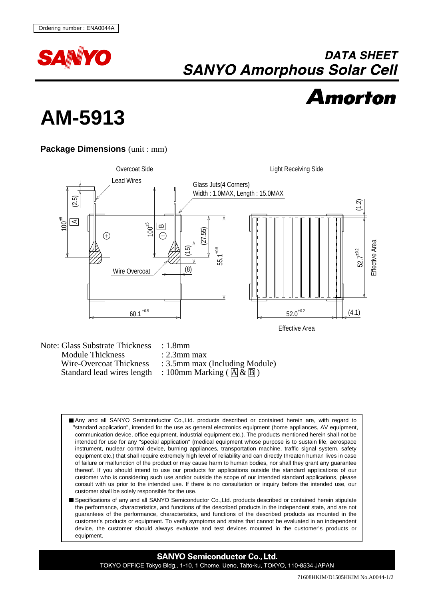

## **DATA SHEET SANYO Amorphous Solar Cell**



## **AM-5913**

## **Package Dimensions** (unit : mm)



Wire-Overcoat Thickness : 3.5mm max (Including Module) Standard lead wires length : 100mm Marking ( $\overline{A} \& \overline{B}$ )

- Any and all SANYO Semiconductor Co.,Ltd. products described or contained herein are, with regard to "standard application", intended for the use as general electronics equipment (home appliances, AV equipment, communication device, office equipment, industrial equipment etc.). The products mentioned herein shall not be intended for use for any "special application" (medical equipment whose purpose is to sustain life, aerospace instrument, nuclear control device, burning appliances, transportation machine, traffic signal system, safety equipment etc.) that shall require extremely high level of reliability and can directly threaten human lives in case of failure or malfunction of the product or may cause harm to human bodies, nor shall they grant any guarantee thereof. If you should intend to use our products for applications outside the standard applications of our customer who is considering such use and/or outside the scope of our intended standard applications, please consult with us prior to the intended use. If there is no consultation or inquiry before the intended use, our customer shall be solely responsible for the use.
- Specifications of any and all SANYO Semiconductor Co.,Ltd. products described or contained herein stipulate the performance, characteristics, and functions of the described products in the independent state, and are not guarantees of the performance, characteristics, and functions of the described products as mounted in the customer's products or equipment. To verify symptoms and states that cannot be evaluated in an independent device, the customer should always evaluate and test devices mounted in the customer's products or equipment.